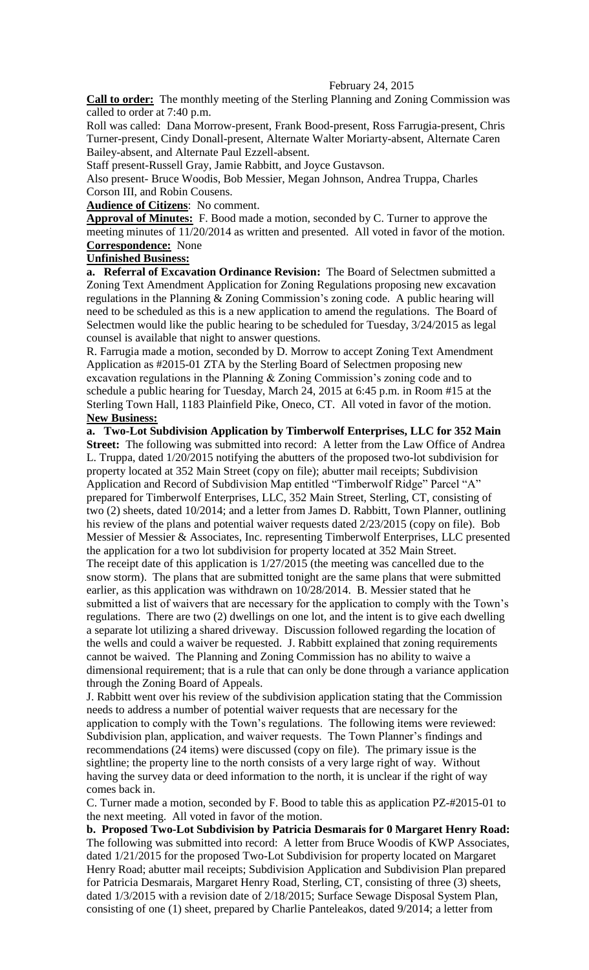## February 24, 2015

**Call to order:** The monthly meeting of the Sterling Planning and Zoning Commission was called to order at 7:40 p.m.

Roll was called: Dana Morrow-present, Frank Bood-present, Ross Farrugia-present, Chris Turner-present, Cindy Donall-present, Alternate Walter Moriarty-absent, Alternate Caren Bailey-absent, and Alternate Paul Ezzell-absent.

Staff present-Russell Gray, Jamie Rabbitt, and Joyce Gustavson.

Also present- Bruce Woodis, Bob Messier, Megan Johnson, Andrea Truppa, Charles Corson III, and Robin Cousens.

**Audience of Citizens**: No comment.

**Approval of Minutes:** F. Bood made a motion, seconded by C. Turner to approve the meeting minutes of 11/20/2014 as written and presented. All voted in favor of the motion. **Correspondence:** None

## **Unfinished Business:**

**a. Referral of Excavation Ordinance Revision:** The Board of Selectmen submitted a Zoning Text Amendment Application for Zoning Regulations proposing new excavation regulations in the Planning & Zoning Commission's zoning code. A public hearing will need to be scheduled as this is a new application to amend the regulations. The Board of Selectmen would like the public hearing to be scheduled for Tuesday, 3/24/2015 as legal counsel is available that night to answer questions.

R. Farrugia made a motion, seconded by D. Morrow to accept Zoning Text Amendment Application as #2015-01 ZTA by the Sterling Board of Selectmen proposing new excavation regulations in the Planning  $&$  Zoning Commission's zoning code and to schedule a public hearing for Tuesday, March 24, 2015 at 6:45 p.m. in Room #15 at the Sterling Town Hall, 1183 Plainfield Pike, Oneco, CT. All voted in favor of the motion. **New Business:** 

**a. Two-Lot Subdivision Application by Timberwolf Enterprises, LLC for 352 Main**  Street: The following was submitted into record: A letter from the Law Office of Andrea L. Truppa, dated 1/20/2015 notifying the abutters of the proposed two-lot subdivision for property located at 352 Main Street (copy on file); abutter mail receipts; Subdivision Application and Record of Subdivision Map entitled "Timberwolf Ridge" Parcel "A" prepared for Timberwolf Enterprises, LLC, 352 Main Street, Sterling, CT, consisting of two (2) sheets, dated 10/2014; and a letter from James D. Rabbitt, Town Planner, outlining his review of the plans and potential waiver requests dated 2/23/2015 (copy on file). Bob Messier of Messier & Associates, Inc. representing Timberwolf Enterprises, LLC presented the application for a two lot subdivision for property located at 352 Main Street. The receipt date of this application is 1/27/2015 (the meeting was cancelled due to the snow storm). The plans that are submitted tonight are the same plans that were submitted earlier, as this application was withdrawn on 10/28/2014. B. Messier stated that he submitted a list of waivers that are necessary for the application to comply with the Town's regulations. There are two (2) dwellings on one lot, and the intent is to give each dwelling a separate lot utilizing a shared driveway. Discussion followed regarding the location of the wells and could a waiver be requested. J. Rabbitt explained that zoning requirements cannot be waived. The Planning and Zoning Commission has no ability to waive a dimensional requirement; that is a rule that can only be done through a variance application through the Zoning Board of Appeals.

J. Rabbitt went over his review of the subdivision application stating that the Commission needs to address a number of potential waiver requests that are necessary for the application to comply with the Town's regulations. The following items were reviewed: Subdivision plan, application, and waiver requests. The Town Planner's findings and recommendations (24 items) were discussed (copy on file). The primary issue is the sightline; the property line to the north consists of a very large right of way. Without having the survey data or deed information to the north, it is unclear if the right of way comes back in.

C. Turner made a motion, seconded by F. Bood to table this as application PZ-#2015-01 to the next meeting. All voted in favor of the motion.

**b. Proposed Two-Lot Subdivision by Patricia Desmarais for 0 Margaret Henry Road:**  The following was submitted into record: A letter from Bruce Woodis of KWP Associates, dated 1/21/2015 for the proposed Two-Lot Subdivision for property located on Margaret Henry Road; abutter mail receipts; Subdivision Application and Subdivision Plan prepared for Patricia Desmarais, Margaret Henry Road, Sterling, CT, consisting of three (3) sheets, dated 1/3/2015 with a revision date of 2/18/2015; Surface Sewage Disposal System Plan, consisting of one (1) sheet, prepared by Charlie Panteleakos, dated 9/2014; a letter from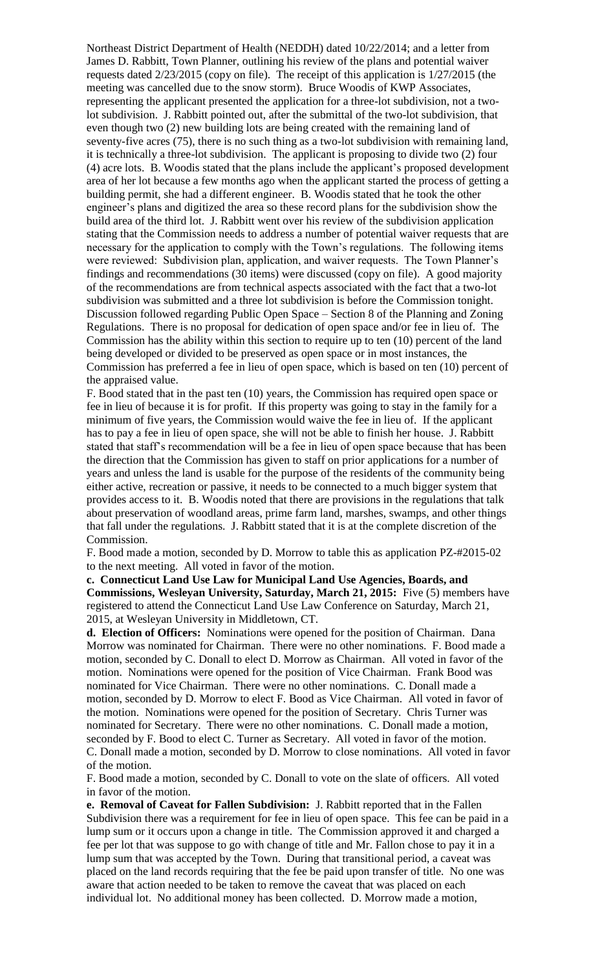Northeast District Department of Health (NEDDH) dated 10/22/2014; and a letter from James D. Rabbitt, Town Planner, outlining his review of the plans and potential waiver requests dated 2/23/2015 (copy on file). The receipt of this application is 1/27/2015 (the meeting was cancelled due to the snow storm). Bruce Woodis of KWP Associates, representing the applicant presented the application for a three-lot subdivision, not a twolot subdivision. J. Rabbitt pointed out, after the submittal of the two-lot subdivision, that even though two (2) new building lots are being created with the remaining land of seventy-five acres (75), there is no such thing as a two-lot subdivision with remaining land, it is technically a three-lot subdivision. The applicant is proposing to divide two (2) four (4) acre lots. B. Woodis stated that the plans include the applicant's proposed development area of her lot because a few months ago when the applicant started the process of getting a building permit, she had a different engineer. B. Woodis stated that he took the other engineer's plans and digitized the area so these record plans for the subdivision show the build area of the third lot. J. Rabbitt went over his review of the subdivision application stating that the Commission needs to address a number of potential waiver requests that are necessary for the application to comply with the Town's regulations. The following items were reviewed: Subdivision plan, application, and waiver requests. The Town Planner's findings and recommendations (30 items) were discussed (copy on file). A good majority of the recommendations are from technical aspects associated with the fact that a two-lot subdivision was submitted and a three lot subdivision is before the Commission tonight. Discussion followed regarding Public Open Space – Section 8 of the Planning and Zoning Regulations. There is no proposal for dedication of open space and/or fee in lieu of. The Commission has the ability within this section to require up to ten (10) percent of the land being developed or divided to be preserved as open space or in most instances, the Commission has preferred a fee in lieu of open space, which is based on ten (10) percent of the appraised value.

F. Bood stated that in the past ten (10) years, the Commission has required open space or fee in lieu of because it is for profit. If this property was going to stay in the family for a minimum of five years, the Commission would waive the fee in lieu of. If the applicant has to pay a fee in lieu of open space, she will not be able to finish her house. J. Rabbitt stated that staff's recommendation will be a fee in lieu of open space because that has been the direction that the Commission has given to staff on prior applications for a number of years and unless the land is usable for the purpose of the residents of the community being either active, recreation or passive, it needs to be connected to a much bigger system that provides access to it. B. Woodis noted that there are provisions in the regulations that talk about preservation of woodland areas, prime farm land, marshes, swamps, and other things that fall under the regulations. J. Rabbitt stated that it is at the complete discretion of the Commission.

F. Bood made a motion, seconded by D. Morrow to table this as application PZ-#2015-02 to the next meeting. All voted in favor of the motion.

**c. Connecticut Land Use Law for Municipal Land Use Agencies, Boards, and Commissions, Wesleyan University, Saturday, March 21, 2015:** Five (5) members have registered to attend the Connecticut Land Use Law Conference on Saturday, March 21, 2015, at Wesleyan University in Middletown, CT.

**d. Election of Officers:** Nominations were opened for the position of Chairman. Dana Morrow was nominated for Chairman. There were no other nominations. F. Bood made a motion, seconded by C. Donall to elect D. Morrow as Chairman. All voted in favor of the motion. Nominations were opened for the position of Vice Chairman. Frank Bood was nominated for Vice Chairman. There were no other nominations. C. Donall made a motion, seconded by D. Morrow to elect F. Bood as Vice Chairman. All voted in favor of the motion. Nominations were opened for the position of Secretary. Chris Turner was nominated for Secretary. There were no other nominations. C. Donall made a motion, seconded by F. Bood to elect C. Turner as Secretary. All voted in favor of the motion. C. Donall made a motion, seconded by D. Morrow to close nominations. All voted in favor of the motion.

F. Bood made a motion, seconded by C. Donall to vote on the slate of officers. All voted in favor of the motion.

**e. Removal of Caveat for Fallen Subdivision:** J. Rabbitt reported that in the Fallen Subdivision there was a requirement for fee in lieu of open space. This fee can be paid in a lump sum or it occurs upon a change in title. The Commission approved it and charged a fee per lot that was suppose to go with change of title and Mr. Fallon chose to pay it in a lump sum that was accepted by the Town. During that transitional period, a caveat was placed on the land records requiring that the fee be paid upon transfer of title. No one was aware that action needed to be taken to remove the caveat that was placed on each individual lot. No additional money has been collected. D. Morrow made a motion,